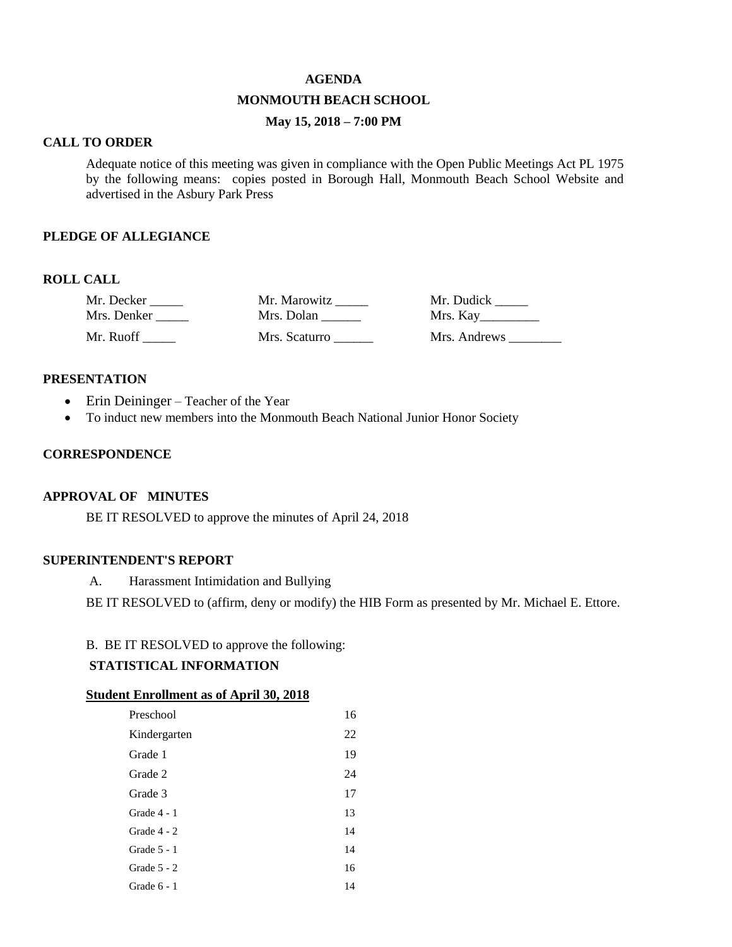### **AGENDA**

### **MONMOUTH BEACH SCHOOL**

## **May 15, 2018 – 7:00 PM**

#### **CALL TO ORDER**

Adequate notice of this meeting was given in compliance with the Open Public Meetings Act PL 1975 by the following means: copies posted in Borough Hall, Monmouth Beach School Website and advertised in the Asbury Park Press

### **PLEDGE OF ALLEGIANCE**

### **ROLL CALL**

| Mr. Decker  | Mr. Marowitz  | Mr. Dudick   |
|-------------|---------------|--------------|
| Mrs. Denker | Mrs. Dolan    | Mrs. Kay     |
| Mr. Ruoff   | Mrs. Scaturro | Mrs. Andrews |

#### **PRESENTATION**

- Erin Deininger Teacher of the Year
- To induct new members into the Monmouth Beach National Junior Honor Society

### **CORRESPONDENCE**

### **APPROVAL OF MINUTES**

BE IT RESOLVED to approve the minutes of April 24, 2018

# **SUPERINTENDENT'S REPORT**

A. Harassment Intimidation and Bullying

BE IT RESOLVED to (affirm, deny or modify) the HIB Form as presented by Mr. Michael E. Ettore.

## B. BE IT RESOLVED to approve the following:

## **STATISTICAL INFORMATION**

#### **Student Enrollment as of April 30, 2018**

| Preschool     | 16 |
|---------------|----|
| Kindergarten  | 22 |
| Grade 1       | 19 |
| Grade 2       | 24 |
| Grade 3       | 17 |
| Grade 4 - 1   | 13 |
| Grade 4 - 2   | 14 |
| Grade 5 - 1   | 14 |
| Grade $5 - 2$ | 16 |
| Grade 6 - 1   | 14 |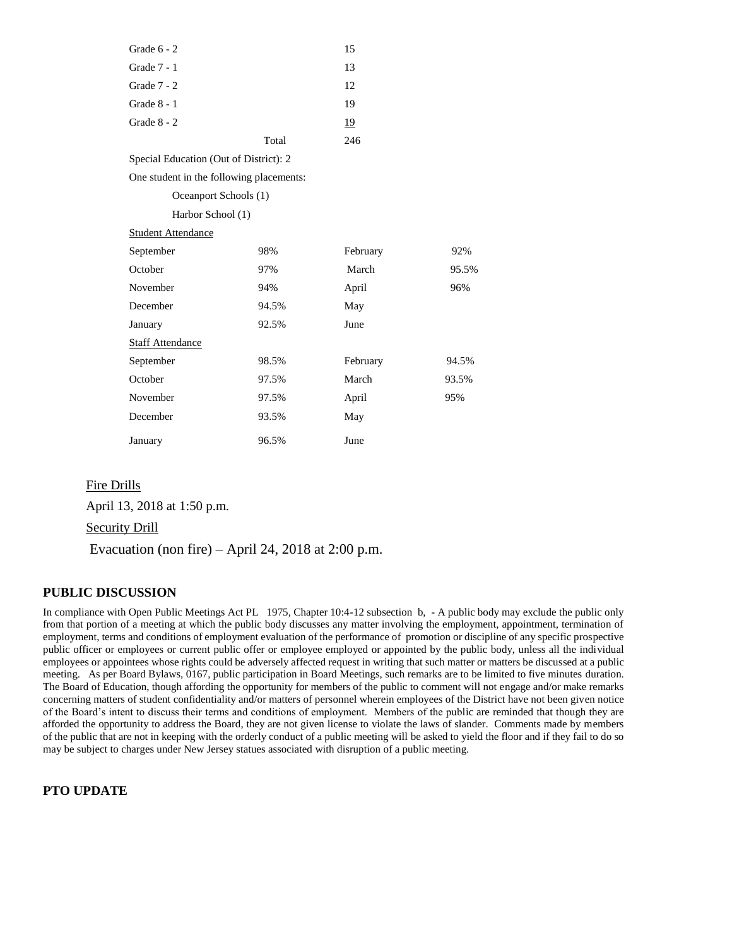| Grade 6 - 2                              |       | 15        |       |
|------------------------------------------|-------|-----------|-------|
| Grade 7 - 1                              |       | 13        |       |
| Grade 7 - 2                              |       | 12        |       |
| Grade $8 - 1$                            |       | 19        |       |
| Grade 8 - 2                              |       | <u>19</u> |       |
|                                          | Total | 246       |       |
| Special Education (Out of District): 2   |       |           |       |
| One student in the following placements: |       |           |       |
| Oceanport Schools (1)                    |       |           |       |
| Harbor School (1)                        |       |           |       |
| <b>Student Attendance</b>                |       |           |       |
| September                                | 98%   | February  | 92%   |
| October                                  | 97%   | March     | 95.5% |
| November                                 | 94%   | April     | 96%   |
| December                                 | 94.5% | May       |       |
| January                                  | 92.5% | June      |       |
| <b>Staff Attendance</b>                  |       |           |       |
| September                                | 98.5% | February  | 94.5% |
| October                                  | 97.5% | March     | 93.5% |
| November                                 | 97.5% | April     | 95%   |
| December                                 | 93.5% | May       |       |
| January                                  | 96.5% | June      |       |

### Fire Drills

April 13, 2018 at 1:50 p.m.

Security Drill

Evacuation (non fire) – April 24, 2018 at  $2:00$  p.m.

## **PUBLIC DISCUSSION**

In compliance with Open Public Meetings Act PL 1975, Chapter 10:4-12 subsection b, - A public body may exclude the public only from that portion of a meeting at which the public body discusses any matter involving the employment, appointment, termination of employment, terms and conditions of employment evaluation of the performance of promotion or discipline of any specific prospective public officer or employees or current public offer or employee employed or appointed by the public body, unless all the individual employees or appointees whose rights could be adversely affected request in writing that such matter or matters be discussed at a public meeting. As per Board Bylaws, 0167, public participation in Board Meetings, such remarks are to be limited to five minutes duration. The Board of Education, though affording the opportunity for members of the public to comment will not engage and/or make remarks concerning matters of student confidentiality and/or matters of personnel wherein employees of the District have not been given notice of the Board's intent to discuss their terms and conditions of employment. Members of the public are reminded that though they are afforded the opportunity to address the Board, they are not given license to violate the laws of slander. Comments made by members of the public that are not in keeping with the orderly conduct of a public meeting will be asked to yield the floor and if they fail to do so may be subject to charges under New Jersey statues associated with disruption of a public meeting.

### **PTO UPDATE**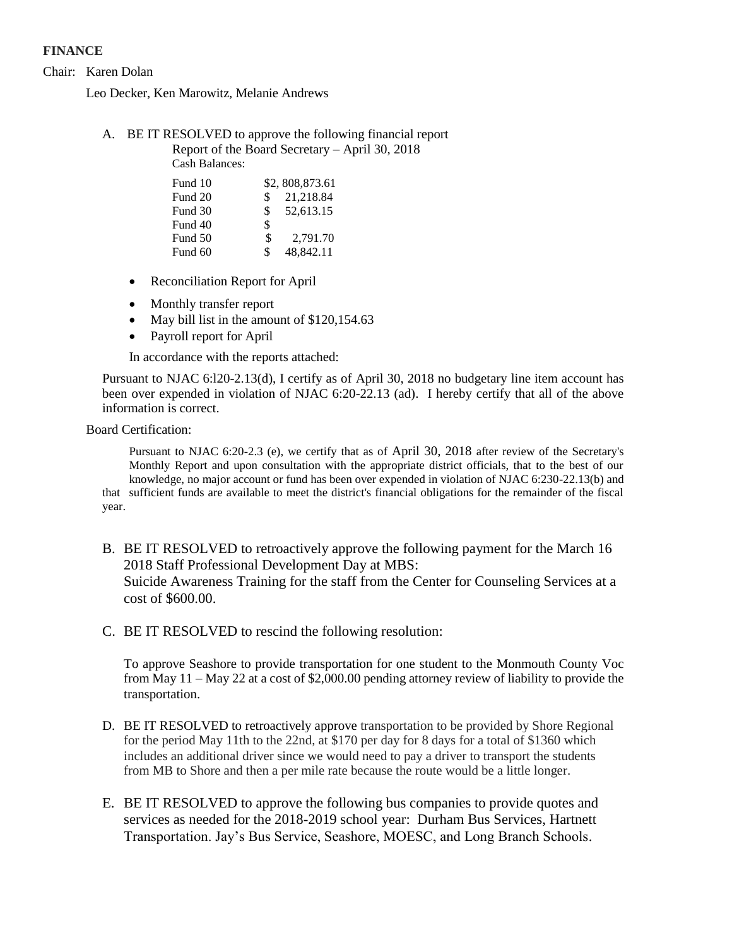# **FINANCE**

Chair: Karen Dolan

Leo Decker, Ken Marowitz, Melanie Andrews

A. BE IT RESOLVED to approve the following financial report

Report of the Board Secretary – April 30, 2018 Cash Balances:

|     | \$2,808,873.61 |
|-----|----------------|
| \$  | 21,218.84      |
| \$. | 52.613.15      |
| \$  |                |
| \$  | 2,791.70       |
|     |                |

Fund 60 \$ 48,842.11

- Reconciliation Report for April
- Monthly transfer report
- May bill list in the amount of \$120,154.63
- Payroll report for April

In accordance with the reports attached:

Pursuant to NJAC 6:l20-2.13(d), I certify as of April 30, 2018 no budgetary line item account has been over expended in violation of NJAC 6:20-22.13 (ad). I hereby certify that all of the above information is correct.

Board Certification:

Pursuant to NJAC 6:20-2.3 (e), we certify that as of April 30, 2018 after review of the Secretary's Monthly Report and upon consultation with the appropriate district officials, that to the best of our knowledge, no major account or fund has been over expended in violation of NJAC 6:230-22.13(b) and that sufficient funds are available to meet the district's financial obligations for the remainder of the fiscal year.

- B. BE IT RESOLVED to retroactively approve the following payment for the March 16 2018 Staff Professional Development Day at MBS: Suicide Awareness Training for the staff from the Center for Counseling Services at a cost of \$600.00.
- C. BE IT RESOLVED to rescind the following resolution:

To approve Seashore to provide transportation for one student to the Monmouth County Voc from May 11 – May 22 at a cost of \$2,000.00 pending attorney review of liability to provide the transportation.

- D. BE IT RESOLVED to retroactively approve transportation to be provided by Shore Regional for the period May 11th to the 22nd, at \$170 per day for 8 days for a total of \$1360 which includes an additional driver since we would need to pay a driver to transport the students from MB to Shore and then a per mile rate because the route would be a little longer.
- E. BE IT RESOLVED to approve the following bus companies to provide quotes and services as needed for the 2018-2019 school year: Durham Bus Services, Hartnett Transportation. Jay's Bus Service, Seashore, MOESC, and Long Branch Schools.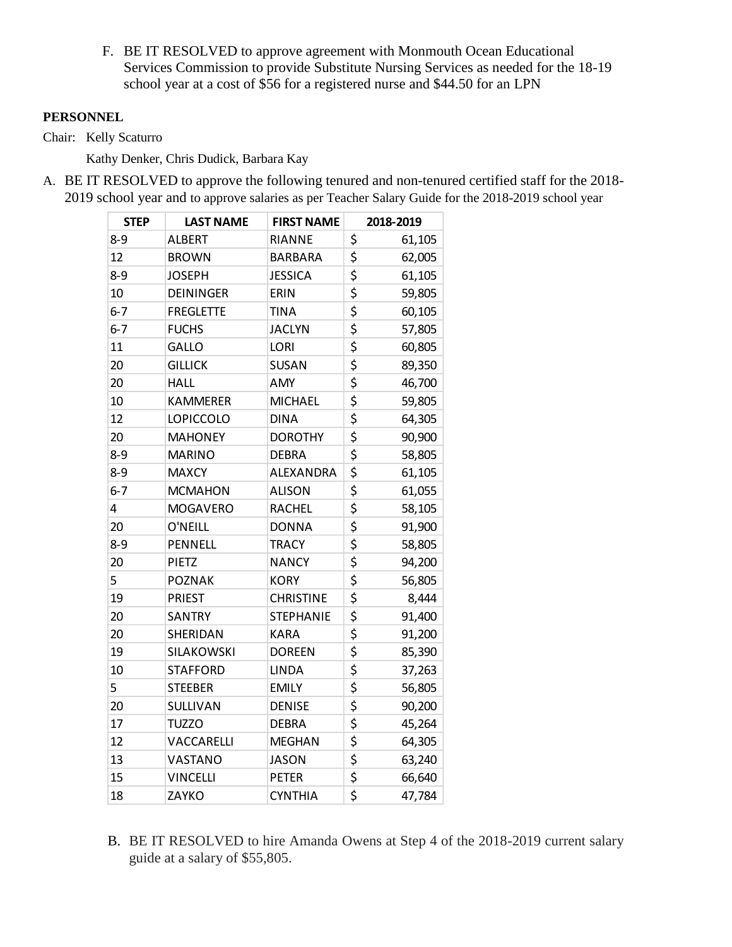F. BE IT RESOLVED to approve agreement with Monmouth Ocean Educational Services Commission to provide Substitute Nursing Services as needed for the 18-19 school year at a cost of \$56 for a registered nurse and \$44.50 for an LPN

# **PERSONNEL**

Chair: Kelly Scaturro

Kathy Denker, Chris Dudick, Barbara Kay

A. BE IT RESOLVED to approve the following tenured and non-tenured certified staff for the 2018- 2019 school year and to approve salaries as per Teacher Salary Guide for the 2018-2019 school year

| <b>STEP</b> | <b>LAST NAME</b> | <b>FIRST NAME</b> | 2018-2019    |
|-------------|------------------|-------------------|--------------|
| $8 - 9$     | <b>ALBERT</b>    | <b>RIANNE</b>     | \$<br>61,105 |
| 12          | <b>BROWN</b>     | <b>BARBARA</b>    | \$<br>62,005 |
| $8 - 9$     | <b>JOSEPH</b>    | <b>JESSICA</b>    | \$<br>61,105 |
| 10          | <b>DEININGER</b> | ERIN              | \$<br>59,805 |
| $6 - 7$     | <b>FREGLETTE</b> | <b>TINA</b>       | \$<br>60,105 |
| $6 - 7$     | <b>FUCHS</b>     | <b>JACLYN</b>     | \$<br>57,805 |
| 11          | GALLO            | <b>LORI</b>       | \$<br>60,805 |
| 20          | <b>GILLICK</b>   | <b>SUSAN</b>      | \$<br>89,350 |
| 20          | <b>HALL</b>      | AMY               | \$<br>46,700 |
| 10          | <b>KAMMERER</b>  | <b>MICHAEL</b>    | \$<br>59,805 |
| 12          | <b>LOPICCOLO</b> | <b>DINA</b>       | \$<br>64,305 |
| 20          | <b>MAHONEY</b>   | <b>DOROTHY</b>    | \$<br>90,900 |
| $8 - 9$     | <b>MARINO</b>    | <b>DEBRA</b>      | \$<br>58,805 |
| $8 - 9$     | <b>MAXCY</b>     | ALEXANDRA         | \$<br>61,105 |
| $6 - 7$     | <b>MCMAHON</b>   | <b>ALISON</b>     | \$<br>61,055 |
| 4           | <b>MOGAVERO</b>  | <b>RACHEL</b>     | \$<br>58,105 |
| 20          | O'NEILL          | <b>DONNA</b>      | \$<br>91,900 |
| $8 - 9$     | PENNELL          | <b>TRACY</b>      | \$<br>58,805 |
| 20          | PIETZ            | <b>NANCY</b>      | \$<br>94,200 |
| 5           | <b>POZNAK</b>    | <b>KORY</b>       | \$<br>56,805 |
| 19          | <b>PRIEST</b>    | <b>CHRISTINE</b>  | \$<br>8,444  |
| 20          | <b>SANTRY</b>    | <b>STEPHANIE</b>  | \$<br>91,400 |
| 20          | SHERIDAN         | <b>KARA</b>       | \$<br>91,200 |
| 19          | SILAKOWSKI       | <b>DOREEN</b>     | \$<br>85,390 |
| 10          | <b>STAFFORD</b>  | <b>LINDA</b>      | \$<br>37,263 |
| 5           | <b>STEEBER</b>   | <b>EMILY</b>      | \$<br>56,805 |
| 20          | <b>SULLIVAN</b>  | <b>DENISE</b>     | \$<br>90,200 |
| 17          | <b>TUZZO</b>     | <b>DEBRA</b>      | \$<br>45,264 |
| 12          | VACCARELLI       | <b>MEGHAN</b>     | \$<br>64,305 |
| 13          | VASTANO          | <b>JASON</b>      | \$<br>63,240 |
| 15          | <b>VINCELLI</b>  | <b>PETER</b>      | \$<br>66,640 |
| 18          | ZAYKO            | <b>CYNTHIA</b>    | \$<br>47,784 |

B. BE IT RESOLVED to hire Amanda Owens at Step 4 of the 2018-2019 current salary guide at a salary of \$55,805.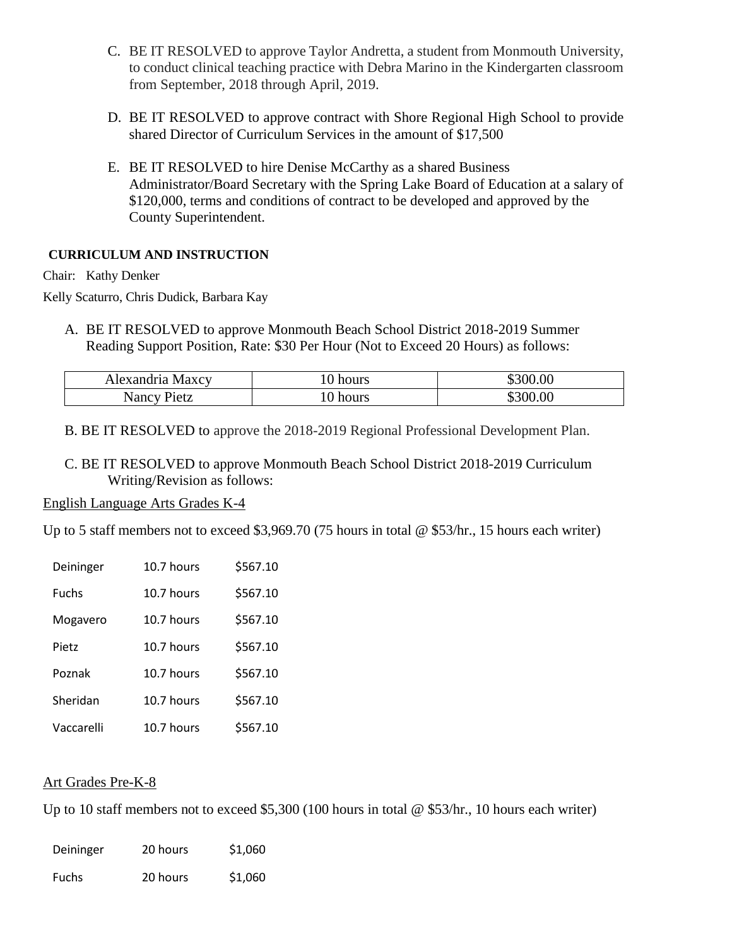- C. BE IT RESOLVED to approve Taylor Andretta, a student from Monmouth University, to conduct clinical teaching practice with Debra Marino in the Kindergarten classroom from September, 2018 through April, 2019.
- D. BE IT RESOLVED to approve contract with Shore Regional High School to provide shared Director of Curriculum Services in the amount of \$17,500
- E. BE IT RESOLVED to hire Denise McCarthy as a shared Business Administrator/Board Secretary with the Spring Lake Board of Education at a salary of \$120,000, terms and conditions of contract to be developed and approved by the County Superintendent.

# **CURRICULUM AND INSTRUCTION**

Chair: Kathy Denker

Kelly Scaturro, Chris Dudick, Barbara Kay

A. BE IT RESOLVED to approve Monmouth Beach School District 2018-2019 Summer Reading Support Position, Rate: \$30 Per Hour (Not to Exceed 20 Hours) as follows:

| Alexandria Maxcy | IU hours | \$300.00 |
|------------------|----------|----------|
| Pietz<br>Nancy   | hours    | \$300.00 |

B. BE IT RESOLVED to approve the 2018-2019 Regional Professional Development Plan.

C. BE IT RESOLVED to approve Monmouth Beach School District 2018-2019 Curriculum Writing/Revision as follows:

## English Language Arts Grades K-4

Up to 5 staff members not to exceed \$3,969.70 (75 hours in total @ \$53/hr., 15 hours each writer)

| Deininger    | 10.7 hours | \$567.10 |
|--------------|------------|----------|
| <b>Fuchs</b> | 10.7 hours | \$567.10 |
| Mogavero     | 10.7 hours | \$567.10 |
| Pietz        | 10.7 hours | \$567.10 |
| Poznak       | 10.7 hours | \$567.10 |
| Sheridan     | 10.7 hours | \$567.10 |
| Vaccarelli   | 10.7 hours | \$567.10 |

# Art Grades Pre-K-8

Up to 10 staff members not to exceed \$5,300 (100 hours in total @ \$53/hr., 10 hours each writer)

| Deininger    | 20 hours | \$1,060 |
|--------------|----------|---------|
| <b>Fuchs</b> | 20 hours | \$1,060 |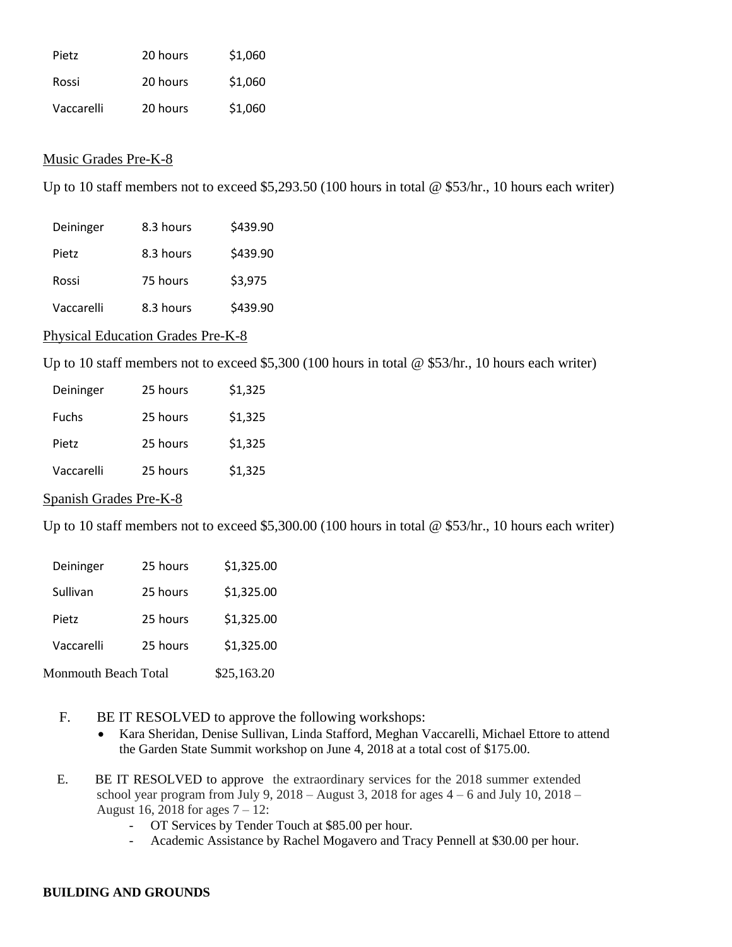| Pietz      | 20 hours | \$1,060 |
|------------|----------|---------|
| Rossi      | 20 hours | \$1,060 |
| Vaccarelli | 20 hours | \$1,060 |

# Music Grades Pre-K-8

Up to 10 staff members not to exceed \$5,293.50 (100 hours in total @ \$53/hr., 10 hours each writer)

| Deininger  | 8.3 hours | \$439.90 |
|------------|-----------|----------|
| Pietz      | 8.3 hours | \$439.90 |
| Rossi      | 75 hours  | \$3,975  |
| Vaccarelli | 8.3 hours | \$439.90 |

# Physical Education Grades Pre-K-8

Up to 10 staff members not to exceed \$5,300 (100 hours in total @ \$53/hr., 10 hours each writer)

| Deininger    | 25 hours | \$1,325 |
|--------------|----------|---------|
| <b>Fuchs</b> | 25 hours | \$1,325 |
| Pietz        | 25 hours | \$1,325 |
| Vaccarelli   | 25 hours | \$1,325 |

## Spanish Grades Pre-K-8

Up to 10 staff members not to exceed \$5,300.00 (100 hours in total @ \$53/hr., 10 hours each writer)

| Deininger            | 25 hours | \$1,325.00  |
|----------------------|----------|-------------|
| Sullivan             | 25 hours | \$1,325.00  |
| Pietz                | 25 hours | \$1,325.00  |
| Vaccarelli           | 25 hours | \$1,325.00  |
| Monmouth Beach Total |          | \$25,163.20 |

- F. BE IT RESOLVED to approve the following workshops:
	- Kara Sheridan, Denise Sullivan, Linda Stafford, Meghan Vaccarelli, Michael Ettore to attend the Garden State Summit workshop on June 4, 2018 at a total cost of \$175.00.
- **G.** E. BE IT RESOLVED to approve the extraordinary services for the 2018 summer extended school year program from July 9,  $2018 -$ August 3,  $2018$  for ages  $4 - 6$  and July 10,  $2018 -$ August 16, 2018 for ages 7 – 12:
	- OT Services by Tender Touch at \$85.00 per hour.
	- Academic Assistance by Rachel Mogavero and Tracy Pennell at \$30.00 per hour.

## **BUILDING AND GROUNDS**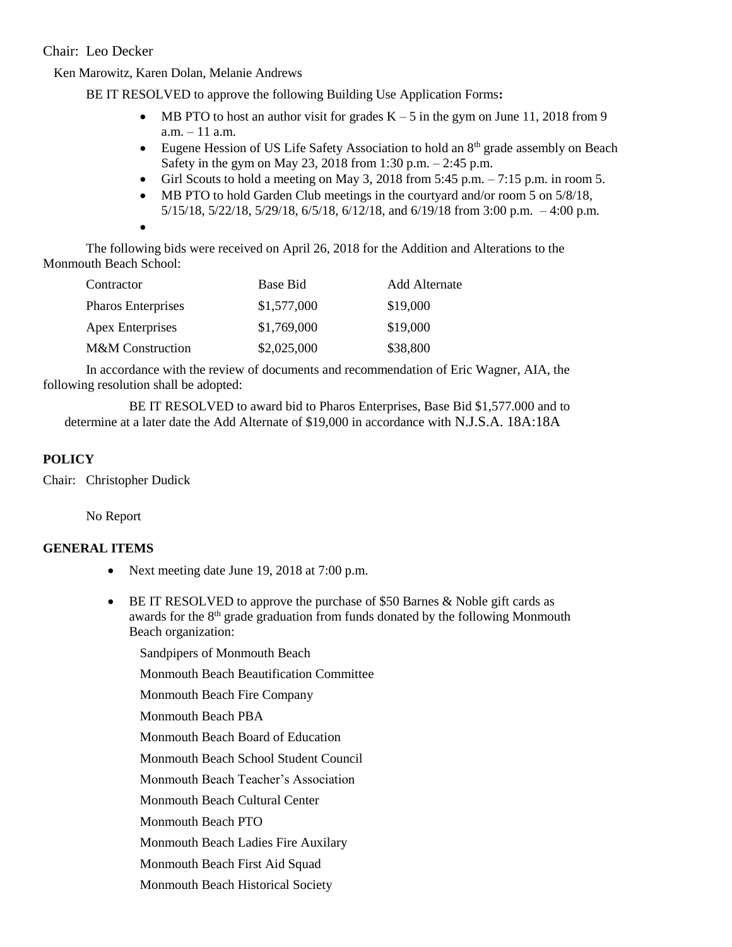Chair: Leo Decker

Ken Marowitz, Karen Dolan, Melanie Andrews

BE IT RESOLVED to approve the following Building Use Application Forms**:** 

- MB PTO to host an author visit for grades  $K 5$  in the gym on June 11, 2018 from 9 a.m. – 11 a.m.
- Eugene Hession of US Life Safety Association to hold an  $8<sup>th</sup>$  grade assembly on Beach Safety in the gym on May 23, 2018 from 1:30 p.m. – 2:45 p.m.
- Girl Scouts to hold a meeting on May 3, 2018 from  $5:45$  p.m.  $-7:15$  p.m. in room 5.
- MB PTO to hold Garden Club meetings in the courtyard and/or room 5 on 5/8/18, 5/15/18, 5/22/18, 5/29/18, 6/5/18, 6/12/18, and 6/19/18 from 3:00 p.m. – 4:00 p.m.

 $\bullet$ 

The following bids were received on April 26, 2018 for the Addition and Alterations to the Monmouth Beach School:

| Contractor                  | Base Bid    | <b>Add Alternate</b> |
|-----------------------------|-------------|----------------------|
| Pharos Enterprises          | \$1,577,000 | \$19,000             |
| <b>Apex Enterprises</b>     | \$1,769,000 | \$19,000             |
| <b>M&amp;M</b> Construction | \$2,025,000 | \$38,800             |

In accordance with the review of documents and recommendation of Eric Wagner, AIA, the following resolution shall be adopted:

BE IT RESOLVED to award bid to Pharos Enterprises, Base Bid \$1,577.000 and to determine at a later date the Add Alternate of \$19,000 in accordance with N.J.S.A. 18A:18A

# **POLICY**

Chair: Christopher Dudick

No Report

# **GENERAL ITEMS**

- Next meeting date June 19, 2018 at 7:00 p.m.
- BE IT RESOLVED to approve the purchase of \$50 Barnes & Noble gift cards as awards for the 8<sup>th</sup> grade graduation from funds donated by the following Monmouth Beach organization:

Sandpipers of Monmouth Beach

Monmouth Beach Beautification Committee

Monmouth Beach Fire Company

Monmouth Beach PBA

Monmouth Beach Board of Education

Monmouth Beach School Student Council

Monmouth Beach Teacher's Association

Monmouth Beach Cultural Center

Monmouth Beach PTO

Monmouth Beach Ladies Fire Auxilary

Monmouth Beach First Aid Squad

Monmouth Beach Historical Society